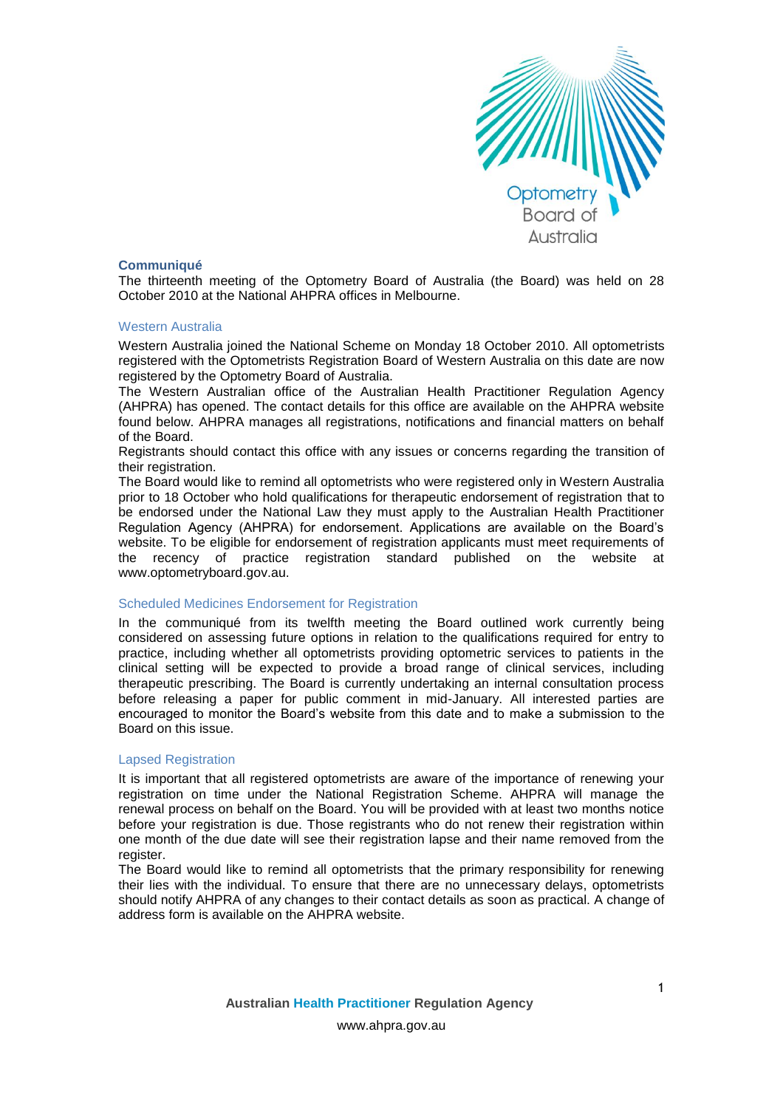

# **Communiqué**

The thirteenth meeting of the Optometry Board of Australia (the Board) was held on 28 October 2010 at the National AHPRA offices in Melbourne.

## Western Australia

Western Australia joined the National Scheme on Monday 18 October 2010. All optometrists registered with the Optometrists Registration Board of Western Australia on this date are now registered by the Optometry Board of Australia.

The Western Australian office of the Australian Health Practitioner Regulation Agency (AHPRA) has opened. The contact details for this office are available on the AHPRA website found below. AHPRA manages all registrations, notifications and financial matters on behalf of the Board.

Registrants should contact this office with any issues or concerns regarding the transition of their registration.

The Board would like to remind all optometrists who were registered only in Western Australia prior to 18 October who hold qualifications for therapeutic endorsement of registration that to be endorsed under the National Law they must apply to the Australian Health Practitioner Regulation Agency (AHPRA) for endorsement. Applications are available on the Board's website. To be eligible for endorsement of registration applicants must meet requirements of the recency of practice registration standard published on the website at www.optometryboard.gov.au.

# Scheduled Medicines Endorsement for Registration

In the communiqué from its twelfth meeting the Board outlined work currently being considered on assessing future options in relation to the qualifications required for entry to practice, including whether all optometrists providing optometric services to patients in the clinical setting will be expected to provide a broad range of clinical services, including therapeutic prescribing. The Board is currently undertaking an internal consultation process before releasing a paper for public comment in mid-January. All interested parties are encouraged to monitor the Board's website from this date and to make a submission to the Board on this issue.

#### Lapsed Registration

It is important that all registered optometrists are aware of the importance of renewing your registration on time under the National Registration Scheme. AHPRA will manage the renewal process on behalf on the Board. You will be provided with at least two months notice before your registration is due. Those registrants who do not renew their registration within one month of the due date will see their registration lapse and their name removed from the register.

The Board would like to remind all optometrists that the primary responsibility for renewing their lies with the individual. To ensure that there are no unnecessary delays, optometrists should notify AHPRA of any changes to their contact details as soon as practical. A change of address form is available on the AHPRA website.